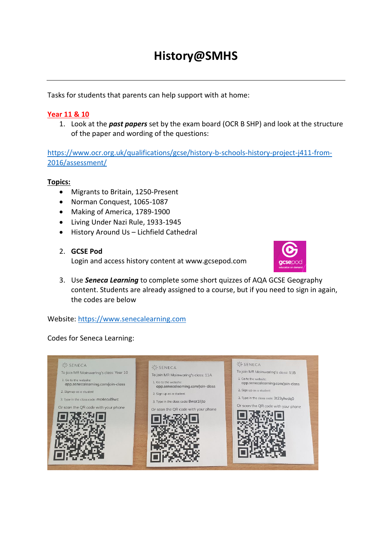# **History@SMHS**

Tasks for students that parents can help support with at home:

## **Year 11 & 10**

1. Look at the *past papers* set by the exam board (OCR B SHP) and look at the structure of the paper and wording of the questions:

[https://www.ocr.org.uk/qualifications/gcse/history-b-schools-history-project-j411-from-](https://www.ocr.org.uk/qualifications/gcse/history-b-schools-history-project-j411-from-2016/assessment/)[2016/assessment/](https://www.ocr.org.uk/qualifications/gcse/history-b-schools-history-project-j411-from-2016/assessment/)

#### **Topics:**

- Migrants to Britain, 1250-Present
- Norman Conquest, 1065-1087
- Making of America, 1789-1900
- Living Under Nazi Rule, 1933-1945
- History Around Us Lichfield Cathedral
- 2. **GCSE Pod**

Login and access history content at www.gcsepod.com



3. Use *Seneca Learning* to complete some short quizzes of AQA GCSE Geography content. Students are already assigned to a course, but if you need to sign in again, the codes are below

#### Website: [https://www.senecalearning.com](https://www.senecalearning.com/)

#### Codes for Seneca Learning: